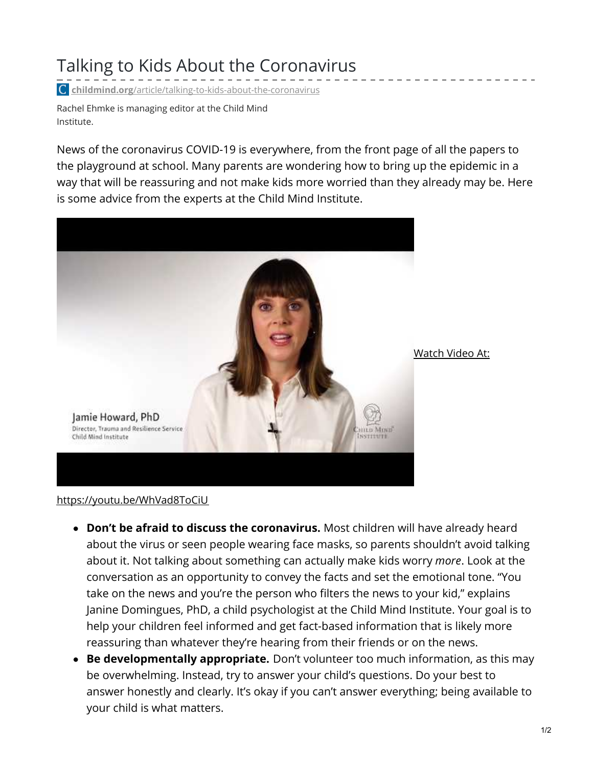## Talking to Kids About the Coronavirus

**childmind.org**[/article/talking-to-kids-about-the-coronavirus](https://childmind.org/article/talking-to-kids-about-the-coronavirus/)

Rachel Ehmke is managing editor at the Child Mind Institute.

News of the coronavirus COVID-19 is everywhere, from the front page of all the papers to the playground at school. Many parents are wondering how to bring up the epidemic in a way that will be reassuring and not make kids more worried than they already may be. Here is some advice from the experts at the Child Mind Institute.



Watch Video At:

<https://youtu.be/WhVad8ToCiU>

- **Don't be afraid to discuss the coronavirus.** Most children will have already heard about the virus or seen people wearing face masks, so parents shouldn't avoid talking about it. Not talking about something can actually make kids worry *more*. Look at the conversation as an opportunity to convey the facts and set the emotional tone. "You take on the news and you're the person who filters the news to your kid," explains Janine Domingues, PhD, a child psychologist at the Child Mind Institute. Your goal is to help your children feel informed and get fact-based information that is likely more reassuring than whatever they're hearing from their friends or on the news.
- **Be developmentally appropriate.** Don't volunteer too much information, as this may be overwhelming. Instead, try to answer your child's questions. Do your best to answer honestly and clearly. It's okay if you can't answer everything; being available to your child is what matters.